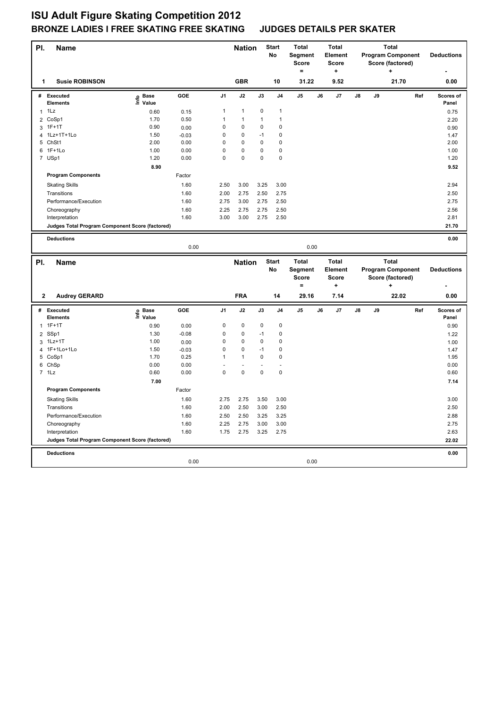| PI.          | <b>Name</b>                                     |                           |         |                | <b>Nation</b>  |              | <b>Start</b><br>No | <b>Total</b><br>Segment<br><b>Score</b><br>$\equiv$ | <b>Total</b><br>Element<br><b>Score</b><br>$\ddot{}$ |    |    | <b>Total</b><br><b>Program Component</b><br>Score (factored) | <b>Deductions</b> |                    |
|--------------|-------------------------------------------------|---------------------------|---------|----------------|----------------|--------------|--------------------|-----------------------------------------------------|------------------------------------------------------|----|----|--------------------------------------------------------------|-------------------|--------------------|
| 1            | <b>Susie ROBINSON</b>                           |                           |         |                | <b>GBR</b>     |              | 10                 | 31.22                                               | 9.52                                                 |    |    | 21.70                                                        |                   | 0.00               |
| #            | <b>Executed</b><br><b>Elements</b>              | e Base<br>⊑ Value         | GOE     | J <sub>1</sub> | J2             | J3           | J4                 | J <sub>5</sub>                                      | J6<br>J7                                             | J8 | J9 |                                                              | Ref               | Scores of<br>Panel |
| $\mathbf{1}$ | 1Lz                                             | 0.60                      | 0.15    | 1              | $\mathbf{1}$   | 0            | 1                  |                                                     |                                                      |    |    |                                                              |                   | 0.75               |
|              | 2 CoSp1                                         | 1.70                      | 0.50    | $\mathbf{1}$   | $\mathbf{1}$   | $\mathbf{1}$ | $\mathbf{1}$       |                                                     |                                                      |    |    |                                                              |                   | 2.20               |
| 3            | $1F+1T$                                         | 0.90                      | 0.00    | $\mathsf 0$    | 0              | 0            | 0                  |                                                     |                                                      |    |    |                                                              |                   | 0.90               |
|              | 4 1Lz+1T+1Lo                                    | 1.50                      | $-0.03$ | $\mathsf 0$    | $\mathbf 0$    | $-1$         | $\mathsf 0$        |                                                     |                                                      |    |    |                                                              |                   | 1.47               |
|              | 5 ChSt1                                         | 2.00                      | 0.00    | 0              | 0              | $\mathbf 0$  | 0                  |                                                     |                                                      |    |    |                                                              |                   | 2.00               |
| 6            | 1F+1Lo                                          | 1.00                      | 0.00    | $\mathsf 0$    | 0              | 0            | 0                  |                                                     |                                                      |    |    |                                                              |                   | 1.00               |
|              | 7 USp1                                          | 1.20                      | 0.00    | $\mathsf 0$    | $\mathbf 0$    | 0            | 0                  |                                                     |                                                      |    |    |                                                              |                   | 1.20               |
|              |                                                 | 8.90                      |         |                |                |              |                    |                                                     |                                                      |    |    |                                                              |                   | 9.52               |
|              | <b>Program Components</b>                       |                           | Factor  |                |                |              |                    |                                                     |                                                      |    |    |                                                              |                   |                    |
|              | <b>Skating Skills</b>                           |                           | 1.60    | 2.50           | 3.00           | 3.25         | 3.00               |                                                     |                                                      |    |    |                                                              |                   | 2.94               |
|              | Transitions                                     |                           | 1.60    | 2.00           | 2.75           | 2.50         | 2.75               |                                                     |                                                      |    |    |                                                              |                   | 2.50               |
|              | Performance/Execution                           |                           | 1.60    | 2.75           | 3.00           | 2.75         | 2.50               |                                                     |                                                      |    |    |                                                              |                   | 2.75               |
|              | Choreography                                    |                           | 1.60    | 2.25           | 2.75           | 2.75         | 2.50               |                                                     |                                                      |    |    |                                                              |                   | 2.56               |
|              | Interpretation                                  |                           | 1.60    | 3.00           | 3.00           | 2.75         | 2.50               |                                                     |                                                      |    |    |                                                              |                   | 2.81               |
|              | Judges Total Program Component Score (factored) |                           |         |                |                |              |                    |                                                     |                                                      |    |    |                                                              |                   | 21.70              |
|              | <b>Deductions</b>                               |                           |         |                |                |              |                    |                                                     |                                                      |    |    |                                                              |                   | 0.00               |
|              |                                                 |                           | 0.00    |                |                |              |                    | 0.00                                                |                                                      |    |    |                                                              |                   |                    |
|              |                                                 |                           |         |                |                |              |                    |                                                     |                                                      |    |    |                                                              |                   |                    |
|              |                                                 |                           |         |                |                |              |                    |                                                     |                                                      |    |    |                                                              |                   |                    |
| PI.          | <b>Name</b>                                     |                           |         |                | <b>Nation</b>  |              | <b>Start</b>       | <b>Total</b>                                        | <b>Total</b>                                         |    |    | <b>Total</b>                                                 |                   |                    |
|              |                                                 |                           |         |                |                |              | No                 | Segment                                             | Element                                              |    |    | <b>Program Component</b>                                     | <b>Deductions</b> |                    |
|              |                                                 |                           |         |                |                |              |                    | <b>Score</b>                                        | <b>Score</b>                                         |    |    | Score (factored)                                             |                   |                    |
|              |                                                 |                           |         |                |                |              |                    | $\equiv$                                            | ÷                                                    |    |    | ٠                                                            |                   |                    |
| $\mathbf{2}$ | <b>Audrey GERARD</b>                            |                           |         |                | <b>FRA</b>     |              | 14                 | 29.16                                               | 7.14                                                 |    |    | 22.02                                                        |                   | 0.00               |
| #            | Executed<br><b>Elements</b>                     |                           | GOE     | J1             | J2             | J3           | J4                 | J <sub>5</sub>                                      | J6<br>J7                                             | J8 | J9 |                                                              | Ref               | Scores of<br>Panel |
|              | $1 1F+1T$                                       | e Base<br>E Value<br>0.90 | 0.00    | 0              | $\mathbf 0$    | 0            | 0                  |                                                     |                                                      |    |    |                                                              |                   | 0.90               |
|              | 2 SSp1                                          | 1.30                      | $-0.08$ | $\mathbf 0$    | $\mathbf 0$    | $-1$         | $\mathsf 0$        |                                                     |                                                      |    |    |                                                              |                   | 1.22               |
|              | 3 1Lz+1T                                        | 1.00                      | 0.00    | $\mathsf 0$    | 0              | 0            | 0                  |                                                     |                                                      |    |    |                                                              |                   | 1.00               |
|              | 4 1F+1Lo+1Lo                                    | 1.50                      | $-0.03$ | $\mathsf 0$    | $\mathbf 0$    | $-1$         | $\mathsf 0$        |                                                     |                                                      |    |    |                                                              |                   | 1.47               |
| 5            | CoSp1                                           | 1.70                      | 0.25    | 1              | 1              | 0            | 0                  |                                                     |                                                      |    |    |                                                              |                   | 1.95               |
|              | 6 ChSp                                          | 0.00                      | 0.00    |                | $\overline{a}$ |              |                    |                                                     |                                                      |    |    |                                                              |                   | 0.00               |
|              | $7$ 1 Lz                                        | 0.60                      | 0.00    | $\mathsf 0$    | $\mathbf 0$    | 0            | 0                  |                                                     |                                                      |    |    |                                                              |                   | 0.60               |
|              |                                                 | 7.00                      |         |                |                |              |                    |                                                     |                                                      |    |    |                                                              |                   | 7.14               |
|              | <b>Program Components</b>                       |                           | Factor  |                |                |              |                    |                                                     |                                                      |    |    |                                                              |                   |                    |
|              | <b>Skating Skills</b>                           |                           | 1.60    | 2.75           | 2.75           | 3.50         | 3.00               |                                                     |                                                      |    |    |                                                              |                   | 3.00               |
|              | Transitions                                     |                           | 1.60    | 2.00           | 2.50           | 3.00         | 2.50               |                                                     |                                                      |    |    |                                                              |                   | 2.50               |
|              | Performance/Execution                           |                           | 1.60    | 2.50           | 2.50           | 3.25         | 3.25               |                                                     |                                                      |    |    |                                                              |                   | 2.88               |
|              | Choreography                                    |                           | 1.60    | 2.25           | 2.75           | 3.00         | 3.00               |                                                     |                                                      |    |    |                                                              |                   | 2.75               |
|              | Interpretation                                  |                           | 1.60    | 1.75           | 2.75           | 3.25         | 2.75               |                                                     |                                                      |    |    |                                                              |                   | 2.63               |
|              | Judges Total Program Component Score (factored) |                           |         |                |                |              |                    |                                                     |                                                      |    |    |                                                              |                   | 22.02              |
|              |                                                 |                           |         |                |                |              |                    |                                                     |                                                      |    |    |                                                              |                   |                    |
|              | <b>Deductions</b>                               |                           | 0.00    |                |                |              |                    | 0.00                                                |                                                      |    |    |                                                              |                   | 0.00               |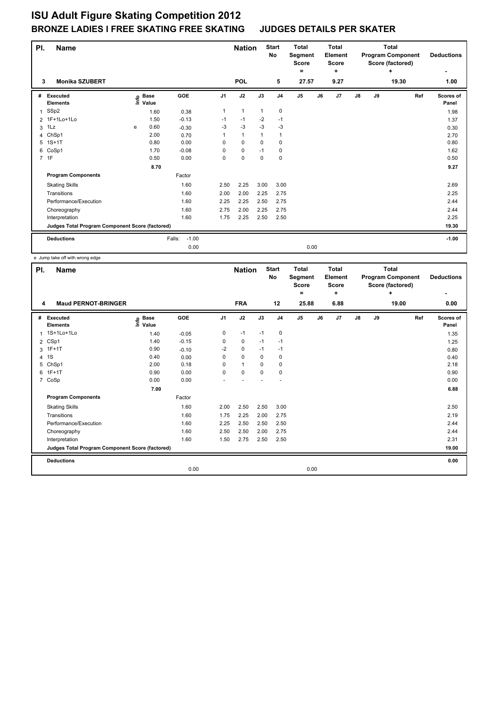| PI. | <b>Name</b>                                     |   |                                  |                   |                | <b>Nation</b> |              | <b>Start</b><br>No | <b>Total</b><br>Segment<br><b>Score</b><br>$=$ | <b>Total</b><br>Element<br><b>Score</b><br>٠ |    |    | <b>Total</b><br><b>Program Component</b><br>Score (factored)<br>÷ | <b>Deductions</b>  |
|-----|-------------------------------------------------|---|----------------------------------|-------------------|----------------|---------------|--------------|--------------------|------------------------------------------------|----------------------------------------------|----|----|-------------------------------------------------------------------|--------------------|
| 3   | <b>Monika SZUBERT</b>                           |   |                                  |                   |                | <b>POL</b>    |              | 5                  | 27.57                                          | 9.27                                         |    |    | 19.30                                                             | 1.00               |
| #   | Executed<br><b>Elements</b>                     |   | <b>Base</b><br>e Base<br>⊆ Value | GOE               | J <sub>1</sub> | J2            | J3           | J <sub>4</sub>     | J <sub>5</sub>                                 | J7<br>J6                                     | J8 | J9 | Ref                                                               | Scores of<br>Panel |
| 1   | SSp2                                            |   | 1.60                             | 0.38              | 1              | $\mathbf{1}$  | $\mathbf{1}$ | 0                  |                                                |                                              |    |    |                                                                   | 1.98               |
|     | 2 1F+1Lo+1Lo                                    |   | 1.50                             | $-0.13$           | $-1$           | $-1$          | $-2$         | $-1$               |                                                |                                              |    |    |                                                                   | 1.37               |
| 3   | 1Lz                                             | e | 0.60                             | $-0.30$           | $-3$           | $-3$          | $-3$         | $-3$               |                                                |                                              |    |    |                                                                   | 0.30               |
|     | 4 ChSp1                                         |   | 2.00                             | 0.70              | 1              | $\mathbf{1}$  | 1            | $\overline{1}$     |                                                |                                              |    |    |                                                                   | 2.70               |
| 5   | $1S+1T$                                         |   | 0.80                             | 0.00              | 0              | 0             | 0            | 0                  |                                                |                                              |    |    |                                                                   | 0.80               |
| 6   | CoSp1                                           |   | 1.70                             | $-0.08$           | 0              | 0             | $-1$         | 0                  |                                                |                                              |    |    |                                                                   | 1.62               |
|     | 7 1F                                            |   | 0.50                             | 0.00              | 0              | $\mathbf 0$   | $\mathbf 0$  | 0                  |                                                |                                              |    |    |                                                                   | 0.50               |
|     |                                                 |   | 8.70                             |                   |                |               |              |                    |                                                |                                              |    |    |                                                                   | 9.27               |
|     | <b>Program Components</b>                       |   |                                  | Factor            |                |               |              |                    |                                                |                                              |    |    |                                                                   |                    |
|     | <b>Skating Skills</b>                           |   |                                  | 1.60              | 2.50           | 2.25          | 3.00         | 3.00               |                                                |                                              |    |    |                                                                   | 2.69               |
|     | Transitions                                     |   |                                  | 1.60              | 2.00           | 2.00          | 2.25         | 2.75               |                                                |                                              |    |    |                                                                   | 2.25               |
|     | Performance/Execution                           |   |                                  | 1.60              | 2.25           | 2.25          | 2.50         | 2.75               |                                                |                                              |    |    |                                                                   | 2.44               |
|     | Choreography                                    |   |                                  | 1.60              | 2.75           | 2.00          | 2.25         | 2.75               |                                                |                                              |    |    |                                                                   | 2.44               |
|     | Interpretation                                  |   |                                  | 1.60              | 1.75           | 2.25          | 2.50         | 2.50               |                                                |                                              |    |    |                                                                   | 2.25               |
|     | Judges Total Program Component Score (factored) |   |                                  |                   |                |               |              |                    |                                                |                                              |    |    |                                                                   | 19.30              |
|     | <b>Deductions</b>                               |   |                                  | $-1.00$<br>Falls: |                |               |              |                    |                                                |                                              |    |    |                                                                   | $-1.00$            |
|     |                                                 |   |                                  | 0.00              |                |               |              |                    | 0.00                                           |                                              |    |    |                                                                   |                    |

e Jump take off with wrong edge

| PI.            | <b>Name</b>                                     |                                  |         |                | <b>Nation</b> |             | <b>Start</b><br>No | <b>Total</b><br>Segment<br><b>Score</b><br>= | Total<br>Element<br><b>Score</b><br>÷ |               |    | <b>Total</b><br><b>Program Component</b><br>Score (factored)<br>÷ | <b>Deductions</b><br>۰ |
|----------------|-------------------------------------------------|----------------------------------|---------|----------------|---------------|-------------|--------------------|----------------------------------------------|---------------------------------------|---------------|----|-------------------------------------------------------------------|------------------------|
| 4              | <b>Maud PERNOT-BRINGER</b>                      |                                  |         |                | <b>FRA</b>    |             | 12                 | 25.88                                        | 6.88                                  |               |    | 19.00                                                             | 0.00                   |
| #              | Executed<br><b>Elements</b>                     | <b>Base</b><br>e Base<br>⊑ Value | GOE     | J <sub>1</sub> | J2            | J3          | J <sub>4</sub>     | J5                                           | J7<br>J6                              | $\mathsf{J}8$ | J9 | Ref                                                               | Scores of<br>Panel     |
| 1              | 1S+1Lo+1Lo                                      | 1.40                             | $-0.05$ | 0              | $-1$          | $-1$        | $\mathbf 0$        |                                              |                                       |               |    |                                                                   | 1.35                   |
| $\overline{2}$ | CSp1                                            | 1.40                             | $-0.15$ | 0              | 0             | $-1$        | $-1$               |                                              |                                       |               |    |                                                                   | 1.25                   |
| 3              | $1F+1T$                                         | 0.90                             | $-0.10$ | $-2$           | $\mathbf 0$   | $-1$        | $-1$               |                                              |                                       |               |    |                                                                   | 0.80                   |
| 4              | 1S                                              | 0.40                             | 0.00    | 0              | $\mathbf 0$   | 0           | 0                  |                                              |                                       |               |    |                                                                   | 0.40                   |
| 5              | ChSp1                                           | 2.00                             | 0.18    | $\Omega$       | $\mathbf{1}$  | 0           | 0                  |                                              |                                       |               |    |                                                                   | 2.18                   |
| 6              | $1F+1T$                                         | 0.90                             | 0.00    | 0              | $\mathbf 0$   | $\mathbf 0$ | 0                  |                                              |                                       |               |    |                                                                   | 0.90                   |
| 7              | CoSp                                            | 0.00                             | 0.00    |                |               |             |                    |                                              |                                       |               |    |                                                                   | 0.00                   |
|                |                                                 | 7.00                             |         |                |               |             |                    |                                              |                                       |               |    |                                                                   | 6.88                   |
|                | <b>Program Components</b>                       |                                  | Factor  |                |               |             |                    |                                              |                                       |               |    |                                                                   |                        |
|                | <b>Skating Skills</b>                           |                                  | 1.60    | 2.00           | 2.50          | 2.50        | 3.00               |                                              |                                       |               |    |                                                                   | 2.50                   |
|                | Transitions                                     |                                  | 1.60    | 1.75           | 2.25          | 2.00        | 2.75               |                                              |                                       |               |    |                                                                   | 2.19                   |
|                | Performance/Execution                           |                                  | 1.60    | 2.25           | 2.50          | 2.50        | 2.50               |                                              |                                       |               |    |                                                                   | 2.44                   |
|                | Choreography                                    |                                  | 1.60    | 2.50           | 2.50          | 2.00        | 2.75               |                                              |                                       |               |    |                                                                   | 2.44                   |
|                | Interpretation                                  |                                  | 1.60    | 1.50           | 2.75          | 2.50        | 2.50               |                                              |                                       |               |    |                                                                   | 2.31                   |
|                | Judges Total Program Component Score (factored) |                                  |         |                |               |             |                    |                                              |                                       |               |    |                                                                   | 19.00                  |
|                | <b>Deductions</b>                               |                                  |         |                |               |             |                    |                                              |                                       |               |    |                                                                   | 0.00                   |
|                |                                                 |                                  | 0.00    |                |               |             |                    | 0.00                                         |                                       |               |    |                                                                   |                        |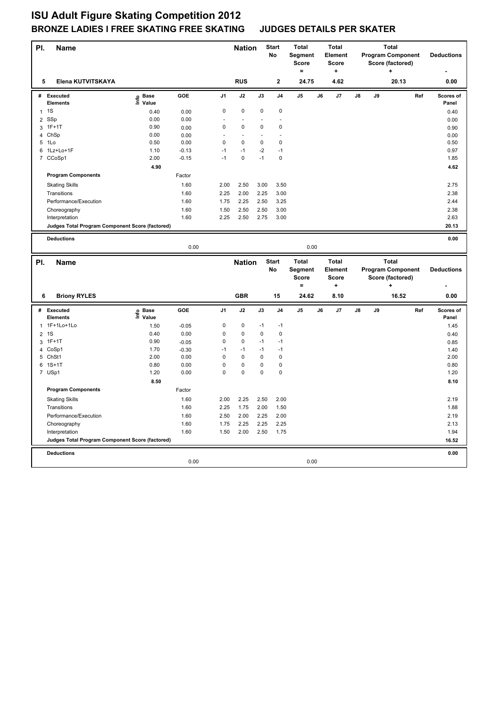| PI.            | <b>Name</b>                                     |                   |                    |                | <b>Nation</b>  |             | <b>Start</b><br>No | <b>Total</b><br>Segment<br><b>Score</b><br>$\equiv$ |    | <b>Total</b><br>Element<br><b>Score</b><br>۰. |    |    | <b>Total</b><br><b>Program Component</b><br>Score (factored) |     | <b>Deductions</b>  |
|----------------|-------------------------------------------------|-------------------|--------------------|----------------|----------------|-------------|--------------------|-----------------------------------------------------|----|-----------------------------------------------|----|----|--------------------------------------------------------------|-----|--------------------|
| 5              | Elena KUTVITSKAYA                               |                   |                    |                | <b>RUS</b>     |             | $\mathbf{2}$       | 24.75                                               |    | 4.62                                          |    |    | 20.13                                                        |     | 0.00               |
| #              | <b>Executed</b><br><b>Elements</b>              | e Base<br>⊑ Value | GOE                | J <sub>1</sub> | J2             | J3          | J <sub>4</sub>     | J5                                                  | J6 | J7                                            | J8 | J9 |                                                              | Ref | Scores of<br>Panel |
| $\mathbf{1}$   | 1S                                              | 0.40              | 0.00               | $\mathsf 0$    | $\mathbf 0$    | $\mathbf 0$ | $\mathbf 0$        |                                                     |    |                                               |    |    |                                                              |     | 0.40               |
|                | 2 SSp                                           | 0.00              | 0.00               |                | $\sim$         |             |                    |                                                     |    |                                               |    |    |                                                              |     | 0.00               |
| 3              | $1F+1T$                                         | 0.90              | 0.00               | $\mathsf 0$    | $\mathbf 0$    | $\mathbf 0$ | $\mathsf 0$        |                                                     |    |                                               |    |    |                                                              |     | 0.90               |
|                | 4 ChSp                                          | 0.00              | 0.00               |                | $\blacksquare$ |             |                    |                                                     |    |                                               |    |    |                                                              |     | 0.00               |
|                | 5 1Lo                                           | 0.50              | 0.00               | $\mathsf 0$    | 0              | $\mathbf 0$ | $\mathbf 0$        |                                                     |    |                                               |    |    |                                                              |     | 0.50               |
| 6              | 1Lz+Lo+1F                                       | 1.10              | $-0.13$            | $-1$           | $-1$           | $-2$        | $-1$               |                                                     |    |                                               |    |    |                                                              |     | 0.97               |
|                | 7 CCoSp1                                        | 2.00              | $-0.15$            | $-1$           | $\mathbf 0$    | $-1$        | $\mathbf 0$        |                                                     |    |                                               |    |    |                                                              |     | 1.85               |
|                |                                                 | 4.90              |                    |                |                |             |                    |                                                     |    |                                               |    |    |                                                              |     | 4.62               |
|                | <b>Program Components</b>                       |                   | Factor             |                |                |             |                    |                                                     |    |                                               |    |    |                                                              |     |                    |
|                | <b>Skating Skills</b>                           |                   | 1.60               | 2.00           | 2.50           | 3.00        | 3.50               |                                                     |    |                                               |    |    |                                                              |     | 2.75               |
|                | Transitions                                     |                   | 1.60               | 2.25           | 2.00           | 2.25        | 3.00               |                                                     |    |                                               |    |    |                                                              |     | 2.38               |
|                | Performance/Execution                           |                   | 1.60               | 1.75           | 2.25           | 2.50        | 3.25               |                                                     |    |                                               |    |    |                                                              |     | 2.44               |
|                | Choreography                                    |                   | 1.60               | 1.50           | 2.50           | 2.50        | 3.00               |                                                     |    |                                               |    |    |                                                              |     | 2.38               |
|                | Interpretation                                  |                   | 1.60               | 2.25           | 2.50           | 2.75        | 3.00               |                                                     |    |                                               |    |    |                                                              |     | 2.63               |
|                | Judges Total Program Component Score (factored) |                   |                    |                |                |             |                    |                                                     |    |                                               |    |    |                                                              |     | 20.13              |
|                |                                                 |                   |                    |                |                |             |                    |                                                     |    |                                               |    |    |                                                              |     |                    |
|                | <b>Deductions</b>                               |                   |                    |                |                |             |                    |                                                     |    |                                               |    |    |                                                              |     | 0.00               |
|                |                                                 |                   | 0.00               |                |                |             |                    | 0.00                                                |    |                                               |    |    |                                                              |     |                    |
|                |                                                 |                   |                    |                |                |             |                    |                                                     |    |                                               |    |    |                                                              |     |                    |
|                |                                                 |                   |                    |                |                |             | <b>Start</b>       | <b>Total</b>                                        |    | Total                                         |    |    | <b>Total</b>                                                 |     |                    |
| PI.            | <b>Name</b>                                     |                   |                    |                | <b>Nation</b>  |             | No                 |                                                     |    | Element                                       |    |    |                                                              |     | <b>Deductions</b>  |
|                |                                                 |                   |                    |                |                |             |                    | Segment<br><b>Score</b>                             |    | <b>Score</b>                                  |    |    | <b>Program Component</b>                                     |     |                    |
|                |                                                 |                   |                    |                |                |             |                    | $=$                                                 |    | ÷                                             |    |    | Score (factored)<br>÷                                        |     |                    |
| 6              | <b>Briony RYLES</b>                             |                   |                    |                | <b>GBR</b>     |             | 15                 | 24.62                                               |    | 8.10                                          |    |    | 16.52                                                        |     | 0.00               |
| #              | <b>Executed</b>                                 |                   | GOE                | J1             | J2             | J3          | J4                 | J5                                                  | J6 | J7                                            | J8 | J9 |                                                              | Ref | Scores of          |
|                | <b>Elements</b>                                 | e Base<br>⊑ Value |                    | $\mathsf 0$    | 0              | $-1$        | $-1$               |                                                     |    |                                               |    |    |                                                              |     | Panel              |
|                | 1 1F+1Lo+1Lo                                    | 1.50<br>0.40      | $-0.05$            | 0              | 0              | 0           | 0                  |                                                     |    |                                               |    |    |                                                              |     | 1.45               |
| $\overline{2}$ | 1S                                              | 0.90              | 0.00               | $\mathsf 0$    | $\mathbf 0$    | $-1$        | $-1$               |                                                     |    |                                               |    |    |                                                              |     | 0.40               |
|                | 3 1F+1T<br>4 CoSp1                              | 1.70              | $-0.05$<br>$-0.30$ | $-1$           | $-1$           | $-1$        | $-1$               |                                                     |    |                                               |    |    |                                                              |     | 0.85<br>1.40       |
| 5              | ChSt1                                           | 2.00              | 0.00               | $\mathsf 0$    | $\mathbf 0$    | 0           | $\mathbf 0$        |                                                     |    |                                               |    |    |                                                              |     | 2.00               |
|                | 6 1S+1T                                         | 0.80              | 0.00               | $\mathsf 0$    | $\mathbf 0$    | 0           | $\mathsf 0$        |                                                     |    |                                               |    |    |                                                              |     | 0.80               |
|                | 7 USp1                                          | 1.20              | 0.00               | $\mathbf 0$    | $\mathbf 0$    | 0           | 0                  |                                                     |    |                                               |    |    |                                                              |     | 1.20               |
|                |                                                 | 8.50              |                    |                |                |             |                    |                                                     |    |                                               |    |    |                                                              |     | 8.10               |
|                | <b>Program Components</b>                       |                   | Factor             |                |                |             |                    |                                                     |    |                                               |    |    |                                                              |     |                    |
|                |                                                 |                   |                    |                |                |             |                    |                                                     |    |                                               |    |    |                                                              |     |                    |
|                | <b>Skating Skills</b>                           |                   | 1.60               | 2.00           | 2.25           | 2.50        | 2.00               |                                                     |    |                                               |    |    |                                                              |     | 2.19               |
|                | Transitions                                     |                   | 1.60               | 2.25           | 1.75           | 2.00        | 1.50               |                                                     |    |                                               |    |    |                                                              |     | 1.88               |
|                | Performance/Execution                           |                   | 1.60               | 2.50           | 2.00           | 2.25        | 2.00               |                                                     |    |                                               |    |    |                                                              |     | 2.19               |
|                | Choreography                                    |                   | 1.60               | 1.75           | 2.25           | 2.25        | 2.25               |                                                     |    |                                               |    |    |                                                              |     | 2.13               |
|                | Interpretation                                  |                   | 1.60               | 1.50           | 2.00           | 2.50        | 1.75               |                                                     |    |                                               |    |    |                                                              |     | 1.94               |
|                | Judges Total Program Component Score (factored) |                   |                    |                |                |             |                    |                                                     |    |                                               |    |    |                                                              |     | 16.52              |
|                | <b>Deductions</b>                               |                   |                    |                |                |             |                    |                                                     |    |                                               |    |    |                                                              |     | 0.00               |
|                |                                                 |                   | 0.00               |                |                |             |                    | 0.00                                                |    |                                               |    |    |                                                              |     |                    |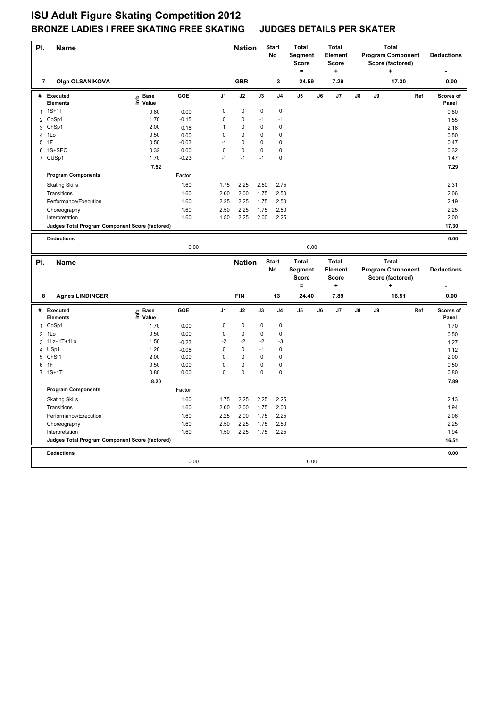| PI.            | <b>Name</b>                                     |                   |         |                | <b>Nation</b> |             | <b>Start</b><br><b>No</b> | <b>Total</b><br>Segment<br><b>Score</b><br>$\equiv$ |    | <b>Total</b><br><b>Element</b><br><b>Score</b><br>۰. |    |    | <b>Total</b><br><b>Program Component</b><br>Score (factored) |     | <b>Deductions</b>  |
|----------------|-------------------------------------------------|-------------------|---------|----------------|---------------|-------------|---------------------------|-----------------------------------------------------|----|------------------------------------------------------|----|----|--------------------------------------------------------------|-----|--------------------|
| 7              | <b>Olga OLSANIKOVA</b>                          |                   |         |                | <b>GBR</b>    |             | 3                         | 24.59                                               |    | 7.29                                                 |    |    | 17.30                                                        |     | 0.00               |
|                | # Executed<br><b>Elements</b>                   | e Base<br>⊑ Value | GOE     | J <sub>1</sub> | J2            | J3          | J <sub>4</sub>            | J <sub>5</sub>                                      | J6 | J7                                                   | J8 | J9 |                                                              | Ref | Scores of<br>Panel |
| 1              | $1S+1T$                                         | 0.80              | 0.00    | 0              | 0             | 0           | 0                         |                                                     |    |                                                      |    |    |                                                              |     | 0.80               |
|                | 2 CoSp1                                         | 1.70              | $-0.15$ | $\mathbf 0$    | $\mathbf 0$   | $-1$        | $-1$                      |                                                     |    |                                                      |    |    |                                                              |     | 1.55               |
| 3              | ChSp1                                           | 2.00              | 0.18    | $\mathbf{1}$   | 0             | 0           | $\mathbf 0$               |                                                     |    |                                                      |    |    |                                                              |     | 2.18               |
|                | 4 1Lo                                           | 0.50              | 0.00    | $\mathsf 0$    | 0             | 0           | 0                         |                                                     |    |                                                      |    |    |                                                              |     | 0.50               |
|                | 5 1F                                            | 0.50              | $-0.03$ | $-1$           | 0             | $\mathbf 0$ | 0                         |                                                     |    |                                                      |    |    |                                                              |     | 0.47               |
| 6              | 1S+SEQ                                          | 0.32              | 0.00    | $\mathsf 0$    | $\mathbf 0$   | 0           | $\mathsf 0$               |                                                     |    |                                                      |    |    |                                                              |     | 0.32               |
|                | 7 CUSp1                                         | 1.70              | $-0.23$ | $-1$           | $-1$          | $-1$        | 0                         |                                                     |    |                                                      |    |    |                                                              |     | 1.47               |
|                |                                                 | 7.52              |         |                |               |             |                           |                                                     |    |                                                      |    |    |                                                              |     | 7.29               |
|                | <b>Program Components</b>                       |                   | Factor  |                |               |             |                           |                                                     |    |                                                      |    |    |                                                              |     |                    |
|                | <b>Skating Skills</b>                           |                   | 1.60    | 1.75           | 2.25          | 2.50        | 2.75                      |                                                     |    |                                                      |    |    |                                                              |     | 2.31               |
|                | Transitions                                     |                   | 1.60    | 2.00           | 2.00          | 1.75        | 2.50                      |                                                     |    |                                                      |    |    |                                                              |     | 2.06               |
|                | Performance/Execution                           |                   | 1.60    | 2.25           | 2.25          | 1.75        | 2.50                      |                                                     |    |                                                      |    |    |                                                              |     | 2.19               |
|                | Choreography                                    |                   | 1.60    | 2.50           | 2.25          | 1.75        | 2.50                      |                                                     |    |                                                      |    |    |                                                              |     | 2.25               |
|                | Interpretation                                  |                   | 1.60    | 1.50           | 2.25          | 2.00        | 2.25                      |                                                     |    |                                                      |    |    |                                                              |     | 2.00               |
|                | Judges Total Program Component Score (factored) |                   |         |                |               |             |                           |                                                     |    |                                                      |    |    |                                                              |     | 17.30              |
|                |                                                 |                   |         |                |               |             |                           |                                                     |    |                                                      |    |    |                                                              |     |                    |
|                | <b>Deductions</b>                               |                   |         |                |               |             |                           |                                                     |    |                                                      |    |    |                                                              |     | 0.00               |
|                |                                                 |                   | 0.00    |                |               |             |                           | 0.00                                                |    |                                                      |    |    |                                                              |     |                    |
|                |                                                 |                   |         |                |               |             |                           |                                                     |    |                                                      |    |    |                                                              |     |                    |
|                |                                                 |                   |         |                |               |             | <b>Start</b>              | <b>Total</b>                                        |    | <b>Total</b>                                         |    |    | <b>Total</b>                                                 |     |                    |
| PI.            | <b>Name</b>                                     |                   |         |                | <b>Nation</b> |             | No                        |                                                     |    | Element                                              |    |    |                                                              |     | <b>Deductions</b>  |
|                |                                                 |                   |         |                |               |             |                           | Segment<br><b>Score</b>                             |    | <b>Score</b>                                         |    |    | <b>Program Component</b>                                     |     |                    |
|                |                                                 |                   |         |                |               |             |                           | $=$                                                 |    | $\ddot{}$                                            |    |    | Score (factored)<br>÷                                        |     |                    |
| 8              | <b>Agnes LINDINGER</b>                          |                   |         |                | <b>FIN</b>    |             | 13                        | 24.40                                               |    | 7.89                                                 |    |    | 16.51                                                        |     | 0.00               |
|                |                                                 |                   |         |                |               |             |                           |                                                     |    |                                                      |    |    |                                                              |     |                    |
| #              | <b>Executed</b>                                 |                   | GOE     | J1             | J2            | J3          | J <sub>4</sub>            | J <sub>5</sub>                                      | J6 | J7                                                   | J8 | J9 |                                                              | Ref | Scores of          |
|                | <b>Elements</b>                                 | e Base<br>⊑ Value |         |                |               |             |                           |                                                     |    |                                                      |    |    |                                                              |     | Panel              |
|                | 1 CoSp1                                         | 1.70              | 0.00    | 0              | 0             | 0           | 0                         |                                                     |    |                                                      |    |    |                                                              |     | 1.70               |
| $\overline{2}$ | 1Lo                                             | 0.50              | 0.00    | $\mathbf 0$    | $\mathbf 0$   | $\mathbf 0$ | $\mathbf 0$               |                                                     |    |                                                      |    |    |                                                              |     | 0.50               |
|                | 3 1Lz+1T+1Lo                                    | 1.50              | $-0.23$ | $-2$           | $-2$          | $-2$        | $-3$                      |                                                     |    |                                                      |    |    |                                                              |     | 1.27               |
|                | 4 USp1                                          | 1.20              | $-0.08$ | $\mathsf 0$    | $\mathbf 0$   | $-1$        | $\mathsf 0$               |                                                     |    |                                                      |    |    |                                                              |     | 1.12               |
|                | 5 ChSt1                                         | 2.00              | 0.00    | $\mathsf 0$    | 0             | 0           | 0                         |                                                     |    |                                                      |    |    |                                                              |     | 2.00               |
|                | 6 1F                                            | 0.50              | 0.00    | $\mathsf 0$    | $\mathbf 0$   | 0           | $\mathsf 0$               |                                                     |    |                                                      |    |    |                                                              |     | 0.50               |
|                | 7 1S+1T                                         | 0.80              | 0.00    | $\mathbf 0$    | $\mathbf 0$   | 0           | 0                         |                                                     |    |                                                      |    |    |                                                              |     | 0.80               |
|                |                                                 | 8.20              |         |                |               |             |                           |                                                     |    |                                                      |    |    |                                                              |     | 7.89               |
|                | <b>Program Components</b>                       |                   | Factor  |                |               |             |                           |                                                     |    |                                                      |    |    |                                                              |     |                    |
|                | <b>Skating Skills</b>                           |                   | 1.60    | 1.75           | 2.25          | 2.25        | 2.25                      |                                                     |    |                                                      |    |    |                                                              |     | 2.13               |
|                | Transitions                                     |                   | 1.60    | 2.00           | 2.00          | 1.75        | 2.00                      |                                                     |    |                                                      |    |    |                                                              |     | 1.94               |
|                | Performance/Execution                           |                   | 1.60    | 2.25           | 2.00          | 1.75        | 2.25                      |                                                     |    |                                                      |    |    |                                                              |     | 2.06               |
|                | Choreography                                    |                   | 1.60    | 2.50           | 2.25          | 1.75        | 2.50                      |                                                     |    |                                                      |    |    |                                                              |     | 2.25               |
|                | Interpretation                                  |                   | 1.60    | 1.50           | 2.25          | 1.75        | 2.25                      |                                                     |    |                                                      |    |    |                                                              |     | 1.94               |
|                | Judges Total Program Component Score (factored) |                   |         |                |               |             |                           |                                                     |    |                                                      |    |    |                                                              |     | 16.51              |
|                |                                                 |                   |         |                |               |             |                           |                                                     |    |                                                      |    |    |                                                              |     |                    |
|                | <b>Deductions</b>                               |                   | 0.00    |                |               |             |                           | 0.00                                                |    |                                                      |    |    |                                                              |     | 0.00               |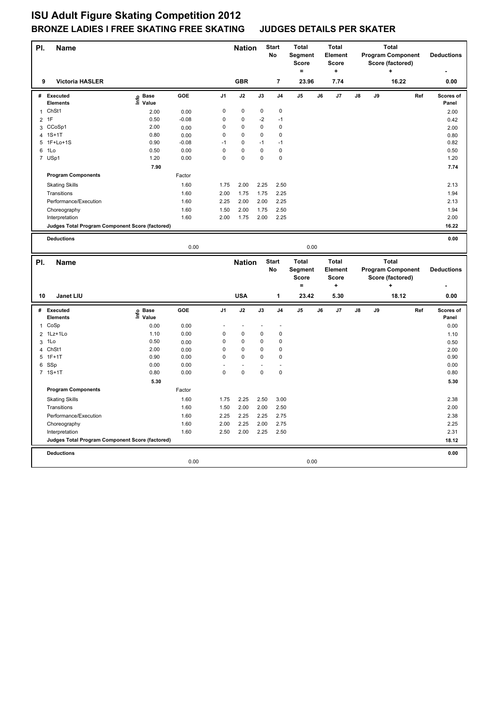| PI.            | Name                                            |                           |         |                | <b>Nation</b>  |             | <b>Start</b><br>No      | <b>Total</b><br>Segment<br><b>Score</b><br>$=$ |    | <b>Total</b><br>Element<br><b>Score</b><br>۰. |    |    | <b>Total</b><br><b>Program Component</b><br>Score (factored) |     | <b>Deductions</b>  |
|----------------|-------------------------------------------------|---------------------------|---------|----------------|----------------|-------------|-------------------------|------------------------------------------------|----|-----------------------------------------------|----|----|--------------------------------------------------------------|-----|--------------------|
| 9              | <b>Victoria HASLER</b>                          |                           |         |                | <b>GBR</b>     |             | $\overline{\mathbf{r}}$ | 23.96                                          |    | 7.74                                          |    |    | 16.22                                                        |     | 0.00               |
| #              | Executed<br><b>Elements</b>                     | e Base<br>⊑ Value         | GOE     | J <sub>1</sub> | J2             | J3          | J <sub>4</sub>          | J5                                             | J6 | J7                                            | J8 | J9 |                                                              | Ref | Scores of<br>Panel |
| $\mathbf{1}$   | ChSt1                                           | 2.00                      | 0.00    | 0              | 0              | $\mathbf 0$ | $\mathbf 0$             |                                                |    |                                               |    |    |                                                              |     | 2.00               |
|                | 2 1F                                            | 0.50                      | $-0.08$ | 0              | 0              | $-2$        | $-1$                    |                                                |    |                                               |    |    |                                                              |     | 0.42               |
| 3              | CCoSp1                                          | 2.00                      | 0.00    | 0              | 0              | 0           | 0                       |                                                |    |                                               |    |    |                                                              |     | 2.00               |
| 4              | $1S+1T$                                         | 0.80                      | 0.00    | 0              | 0              | 0           | $\mathbf 0$             |                                                |    |                                               |    |    |                                                              |     | 0.80               |
|                | 5 1F+Lo+1S                                      | 0.90                      | $-0.08$ | $-1$           | 0              | $-1$        | $-1$                    |                                                |    |                                               |    |    |                                                              |     | 0.82               |
| 6              | 1Lo                                             | 0.50                      | 0.00    | 0              | 0              | $\mathbf 0$ | $\mathbf 0$             |                                                |    |                                               |    |    |                                                              |     | 0.50               |
|                | 7 USp1                                          | 1.20                      | 0.00    | 0              | 0              | $\mathbf 0$ | $\mathbf 0$             |                                                |    |                                               |    |    |                                                              |     | 1.20               |
|                |                                                 | 7.90                      |         |                |                |             |                         |                                                |    |                                               |    |    |                                                              |     | 7.74               |
|                | <b>Program Components</b>                       |                           | Factor  |                |                |             |                         |                                                |    |                                               |    |    |                                                              |     |                    |
|                | <b>Skating Skills</b>                           |                           | 1.60    | 1.75           | 2.00           | 2.25        | 2.50                    |                                                |    |                                               |    |    |                                                              |     | 2.13               |
|                | Transitions                                     |                           | 1.60    | 2.00           | 1.75           | 1.75        | 2.25                    |                                                |    |                                               |    |    |                                                              |     | 1.94               |
|                | Performance/Execution                           |                           | 1.60    | 2.25           | 2.00           | 2.00        | 2.25                    |                                                |    |                                               |    |    |                                                              |     | 2.13               |
|                | Choreography                                    |                           | 1.60    | 1.50           | 2.00           | 1.75        | 2.50                    |                                                |    |                                               |    |    |                                                              |     | 1.94               |
|                | Interpretation                                  |                           | 1.60    | 2.00           | 1.75           | 2.00        | 2.25                    |                                                |    |                                               |    |    |                                                              |     | 2.00               |
|                | Judges Total Program Component Score (factored) |                           |         |                |                |             |                         |                                                |    |                                               |    |    |                                                              |     | 16.22              |
|                |                                                 |                           |         |                |                |             |                         |                                                |    |                                               |    |    |                                                              |     |                    |
|                | <b>Deductions</b>                               |                           |         |                |                |             |                         |                                                |    |                                               |    |    |                                                              |     | 0.00               |
|                |                                                 |                           | 0.00    |                |                |             |                         | 0.00                                           |    |                                               |    |    |                                                              |     |                    |
|                |                                                 |                           |         |                |                |             |                         |                                                |    |                                               |    |    |                                                              |     |                    |
|                |                                                 |                           |         |                |                |             |                         | <b>Total</b>                                   |    | <b>Total</b>                                  |    |    | <b>Total</b>                                                 |     |                    |
| PI.            | <b>Name</b>                                     |                           |         |                | <b>Nation</b>  |             | <b>Start</b><br>No      |                                                |    | Element                                       |    |    |                                                              |     | <b>Deductions</b>  |
|                |                                                 |                           |         |                |                |             |                         | Segment<br><b>Score</b>                        |    | Score                                         |    |    | <b>Program Component</b><br>Score (factored)                 |     |                    |
|                |                                                 |                           |         |                |                |             |                         | $=$                                            |    | $\ddot{}$                                     |    |    | $\ddot{}$                                                    |     |                    |
| 10             | Janet LIU                                       |                           |         |                | <b>USA</b>     |             | 1                       | 23.42                                          |    | 5.30                                          |    |    | 18.12                                                        |     | 0.00               |
| #              | Executed<br>Elements                            | <b>Base</b>               | GOE     | J <sub>1</sub> | J2             | J3          | J <sub>4</sub>          | J5                                             | J6 | J7                                            | J8 | J9 |                                                              | Ref | Scores of<br>Panel |
| $\mathbf{1}$   | CoSp                                            | e Base<br>⊆ Value<br>0.00 | 0.00    |                | $\overline{a}$ |             | L,                      |                                                |    |                                               |    |    |                                                              |     | 0.00               |
| $\overline{2}$ | 1Lz+1Lo                                         | 1.10                      | 0.00    | 0              | 0              | 0           | $\mathbf 0$             |                                                |    |                                               |    |    |                                                              |     | 1.10               |
| 3              | 1Lo                                             | 0.50                      | 0.00    | 0              | 0              | 0           | $\mathbf 0$             |                                                |    |                                               |    |    |                                                              |     | 0.50               |
| $\overline{4}$ | ChSt1                                           | 2.00                      | 0.00    | 0              | 0              | 0           | 0                       |                                                |    |                                               |    |    |                                                              |     | 2.00               |
|                | 5 1F+1T                                         | 0.90                      | 0.00    | 0              | $\Omega$       | $\Omega$    | $\Omega$                |                                                |    |                                               |    |    |                                                              |     | 0.90               |
|                | 6 SSp                                           | 0.00                      | 0.00    |                | ä,             |             |                         |                                                |    |                                               |    |    |                                                              |     | 0.00               |
|                | 7 1S+1T                                         | 0.80                      | 0.00    | 0              | 0              | 0           | $\mathbf 0$             |                                                |    |                                               |    |    |                                                              |     | 0.80               |
|                |                                                 | 5.30                      |         |                |                |             |                         |                                                |    |                                               |    |    |                                                              |     | 5.30               |
|                | <b>Program Components</b>                       |                           | Factor  |                |                |             |                         |                                                |    |                                               |    |    |                                                              |     |                    |
|                | <b>Skating Skills</b>                           |                           | 1.60    | 1.75           | 2.25           | 2.50        | 3.00                    |                                                |    |                                               |    |    |                                                              |     | 2.38               |
|                | Transitions                                     |                           | 1.60    | 1.50           | 2.00           | 2.00        | 2.50                    |                                                |    |                                               |    |    |                                                              |     | 2.00               |
|                | Performance/Execution                           |                           | 1.60    | 2.25           | 2.25           | 2.25        | 2.75                    |                                                |    |                                               |    |    |                                                              |     | 2.38               |
|                | Choreography                                    |                           | 1.60    | 2.00           | 2.25           | 2.00        | 2.75                    |                                                |    |                                               |    |    |                                                              |     | 2.25               |
|                | Interpretation                                  |                           | 1.60    | 2.50           | 2.00           | 2.25        | 2.50                    |                                                |    |                                               |    |    |                                                              |     | 2.31               |
|                | Judges Total Program Component Score (factored) |                           |         |                |                |             |                         |                                                |    |                                               |    |    |                                                              |     | 18.12              |
|                |                                                 |                           |         |                |                |             |                         |                                                |    |                                               |    |    |                                                              |     |                    |
|                | <b>Deductions</b>                               |                           | 0.00    |                |                |             |                         | 0.00                                           |    |                                               |    |    |                                                              |     | 0.00               |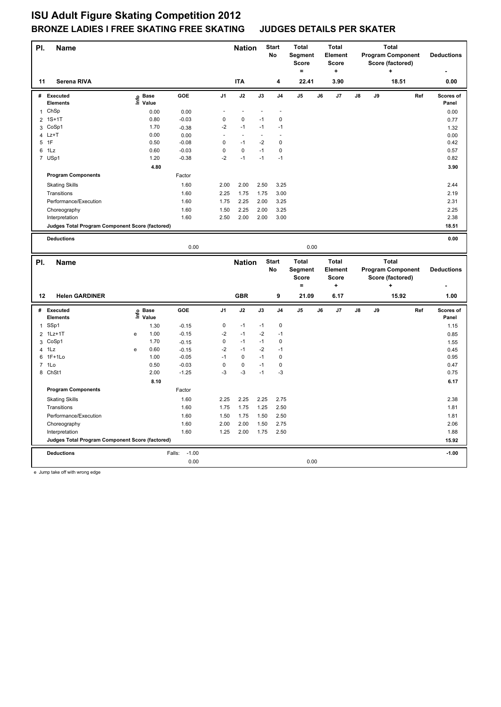| PI.            | Name                                            |   |                   |                    |                   | <b>Nation</b>  |               | <b>Start</b><br><b>No</b> | <b>Total</b><br>Segment<br><b>Score</b><br>۰ |    | <b>Total</b><br><b>Element</b><br><b>Score</b><br>÷ |    |    | <b>Total</b><br><b>Program Component</b><br>Score (factored) |     | <b>Deductions</b>  |
|----------------|-------------------------------------------------|---|-------------------|--------------------|-------------------|----------------|---------------|---------------------------|----------------------------------------------|----|-----------------------------------------------------|----|----|--------------------------------------------------------------|-----|--------------------|
| 11             | Serena RIVA                                     |   |                   |                    |                   | <b>ITA</b>     |               | 4                         | 22.41                                        |    | 3.90                                                |    |    | 18.51                                                        |     | 0.00               |
| #              | <b>Executed</b><br><b>Elements</b>              |   | e Base<br>⊆ Value | GOE                | J <sub>1</sub>    | J2             | $\mathsf{J3}$ | J4                        | J5                                           | J6 | J7                                                  | J8 | J9 |                                                              | Ref | Scores of<br>Panel |
| 1              | ChSp                                            |   | 0.00              | 0.00               |                   | $\blacksquare$ |               |                           |                                              |    |                                                     |    |    |                                                              |     | 0.00               |
| $\overline{2}$ | $1S+1T$                                         |   | 0.80              | $-0.03$            | 0                 | 0              | $-1$          | $\mathbf 0$               |                                              |    |                                                     |    |    |                                                              |     | 0.77               |
| 3              | CoSp1                                           |   | 1.70              | $-0.38$            | $-2$              | $-1$           | $-1$          | $-1$                      |                                              |    |                                                     |    |    |                                                              |     | 1.32               |
|                | $4$ Lz+T                                        |   | 0.00              | 0.00               |                   | ä,             | ÷,            |                           |                                              |    |                                                     |    |    |                                                              |     | 0.00               |
|                | 5 1F                                            |   | 0.50              | $-0.08$            | $\mathbf 0$       | $-1$           | $-2$          | $\mathbf 0$               |                                              |    |                                                     |    |    |                                                              |     | 0.42               |
| 6              | 1Lz                                             |   | 0.60              | $-0.03$            | $\mathbf 0$       | $\pmb{0}$      | $-1$          | $\pmb{0}$                 |                                              |    |                                                     |    |    |                                                              |     | 0.57               |
|                | 7 USp1                                          |   | 1.20              | $-0.38$            | $-2$              | $-1$           | $-1$          | $-1$                      |                                              |    |                                                     |    |    |                                                              |     | 0.82               |
|                |                                                 |   | 4.80              |                    |                   |                |               |                           |                                              |    |                                                     |    |    |                                                              |     | 3.90               |
|                | <b>Program Components</b>                       |   |                   | Factor             |                   |                |               |                           |                                              |    |                                                     |    |    |                                                              |     |                    |
|                | <b>Skating Skills</b>                           |   |                   | 1.60               | 2.00              | 2.00           | 2.50          | 3.25                      |                                              |    |                                                     |    |    |                                                              |     | 2.44               |
|                | Transitions                                     |   |                   | 1.60               | 2.25              | 1.75           | 1.75          | 3.00                      |                                              |    |                                                     |    |    |                                                              |     | 2.19               |
|                | Performance/Execution                           |   |                   | 1.60               | 1.75              | 2.25           | 2.00          | 3.25                      |                                              |    |                                                     |    |    |                                                              |     | 2.31               |
|                | Choreography                                    |   |                   | 1.60               | 1.50              | 2.25           | 2.00          | 3.25                      |                                              |    |                                                     |    |    |                                                              |     | 2.25               |
|                | Interpretation                                  |   |                   | 1.60               | 2.50              | 2.00           | 2.00          | 3.00                      |                                              |    |                                                     |    |    |                                                              |     | 2.38               |
|                | Judges Total Program Component Score (factored) |   |                   |                    |                   |                |               |                           |                                              |    |                                                     |    |    |                                                              |     | 18.51              |
|                |                                                 |   |                   |                    |                   |                |               |                           |                                              |    |                                                     |    |    |                                                              |     |                    |
|                | <b>Deductions</b>                               |   |                   |                    |                   |                |               |                           |                                              |    |                                                     |    |    |                                                              |     | 0.00               |
|                |                                                 |   |                   | 0.00               |                   |                |               |                           | 0.00                                         |    |                                                     |    |    |                                                              |     |                    |
|                |                                                 |   |                   |                    |                   |                |               |                           |                                              |    |                                                     |    |    | <b>Total</b>                                                 |     |                    |
|                |                                                 |   |                   |                    |                   |                |               | <b>Start</b>              | <b>Total</b>                                 |    | <b>Total</b>                                        |    |    |                                                              |     |                    |
| PI.            | <b>Name</b>                                     |   |                   |                    |                   | <b>Nation</b>  |               | No                        |                                              |    | <b>Element</b>                                      |    |    | <b>Program Component</b>                                     |     | <b>Deductions</b>  |
|                |                                                 |   |                   |                    |                   |                |               |                           | Segment<br><b>Score</b>                      |    | <b>Score</b>                                        |    |    | Score (factored)                                             |     |                    |
|                |                                                 |   |                   |                    |                   |                |               |                           | $=$                                          |    | ÷                                                   |    |    | $\ddot{}$                                                    |     |                    |
| 12             | <b>Helen GARDINER</b>                           |   |                   |                    |                   | <b>GBR</b>     |               | 9                         | 21.09                                        |    | 6.17                                                |    |    | 15.92                                                        |     | 1.00               |
|                |                                                 |   |                   |                    |                   |                |               |                           |                                              |    |                                                     |    |    |                                                              |     |                    |
| #              | Executed<br>Elements                            |   |                   | GOE                | J1                | J2             | J3            | J <sub>4</sub>            | J <sub>5</sub>                               | J6 | J7                                                  | J8 | J9 |                                                              | Ref | Scores of          |
|                |                                                 |   | e Base<br>⊑ Value |                    | 0                 | $-1$           | $-1$          | $\mathbf 0$               |                                              |    |                                                     |    |    |                                                              |     | Panel              |
| $\mathbf{1}$   | SSp1                                            |   | 1.30              | $-0.15$            |                   |                |               |                           |                                              |    |                                                     |    |    |                                                              |     | 1.15               |
| $\overline{2}$ | $1Lz+1T$                                        | e | 1.00              | $-0.15$            | $-2$              | $-1$<br>$-1$   | $-2$<br>$-1$  | $-1$<br>$\pmb{0}$         |                                              |    |                                                     |    |    |                                                              |     | 0.85               |
|                | 3 CoSp1<br>$4$ 1Lz                              | e | 1.70<br>0.60      | $-0.15$            | $\pmb{0}$<br>$-2$ | $-1$           | $-2$          | $-1$                      |                                              |    |                                                     |    |    |                                                              |     | 1.55               |
| 6              | $1F+1Lo$                                        |   | 1.00              | $-0.15$<br>$-0.05$ | $-1$              | $\Omega$       | $-1$          | 0                         |                                              |    |                                                     |    |    |                                                              |     | 0.45<br>0.95       |
|                | 7 1Lo                                           |   | 0.50              | $-0.03$            | $\mathbf 0$       | 0              | $-1$          | 0                         |                                              |    |                                                     |    |    |                                                              |     | 0.47               |
|                | 8 ChSt1                                         |   | 2.00              | $-1.25$            | $-3$              | $-3$           | $-1$          | $-3$                      |                                              |    |                                                     |    |    |                                                              |     | 0.75               |
|                |                                                 |   | 8.10              |                    |                   |                |               |                           |                                              |    |                                                     |    |    |                                                              |     | 6.17               |
|                |                                                 |   |                   |                    |                   |                |               |                           |                                              |    |                                                     |    |    |                                                              |     |                    |
|                | <b>Program Components</b>                       |   |                   | Factor             |                   |                |               |                           |                                              |    |                                                     |    |    |                                                              |     |                    |
|                | <b>Skating Skills</b>                           |   |                   | 1.60               | 2.25              | 2.25           | 2.25          | 2.75                      |                                              |    |                                                     |    |    |                                                              |     | 2.38               |
|                | Transitions                                     |   |                   | 1.60               | 1.75              | 1.75           | 1.25          | 2.50                      |                                              |    |                                                     |    |    |                                                              |     | 1.81               |
|                | Performance/Execution                           |   |                   | 1.60               | 1.50              | 1.75           | 1.50          | 2.50                      |                                              |    |                                                     |    |    |                                                              |     | 1.81               |
|                | Choreography                                    |   |                   | 1.60               | 2.00              | 2.00           | 1.50          | 2.75                      |                                              |    |                                                     |    |    |                                                              |     | 2.06               |
|                | Interpretation                                  |   |                   | 1.60               | 1.25              | 2.00           | 1.75          | 2.50                      |                                              |    |                                                     |    |    |                                                              |     | 1.88               |
|                | Judges Total Program Component Score (factored) |   |                   |                    |                   |                |               |                           |                                              |    |                                                     |    |    |                                                              |     | 15.92              |
|                | <b>Deductions</b>                               |   |                   | $-1.00$<br>Falls:  |                   |                |               |                           |                                              |    |                                                     |    |    |                                                              |     | $-1.00$            |
|                |                                                 |   |                   | 0.00               |                   |                |               |                           | 0.00                                         |    |                                                     |    |    |                                                              |     |                    |

e Jump take off with wrong edge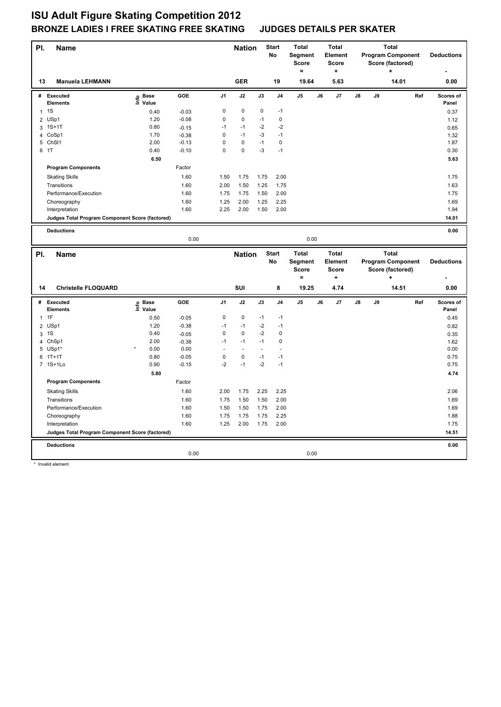| PI.            | <b>Name</b>                                                       |                   |                    |                     | <b>Nation</b>     | No           | <b>Start</b>     | <b>Total</b><br><b>Segment</b><br><b>Score</b><br>۰ |    | <b>Total</b><br><b>Element</b><br><b>Score</b><br>٠. |    |    | <b>Total</b><br><b>Program Component</b><br>Score (factored) |     | <b>Deductions</b>  |
|----------------|-------------------------------------------------------------------|-------------------|--------------------|---------------------|-------------------|--------------|------------------|-----------------------------------------------------|----|------------------------------------------------------|----|----|--------------------------------------------------------------|-----|--------------------|
| 13             | <b>Manuela LEHMANN</b>                                            |                   |                    |                     | <b>GER</b>        |              | 19               | 19.64                                               |    | 5.63                                                 |    |    | 14.01                                                        |     | 0.00               |
|                | # Executed<br>Elements                                            | e Base<br>⊆ Value | GOE                | J <sub>1</sub>      | J2                | J3           | J <sub>4</sub>   | $\mathsf{J}5$                                       | J6 | J7                                                   | J8 | J9 |                                                              | Ref | Scores of<br>Panel |
|                | $1 \quad 1S$                                                      | 0.40              | $-0.03$            | 0                   | 0                 | 0            | $-1$             |                                                     |    |                                                      |    |    |                                                              |     | 0.37               |
| $\overline{2}$ | USp1                                                              | 1.20              | $-0.08$            | $\mathsf 0$         | 0                 | $-1$         | $\pmb{0}$        |                                                     |    |                                                      |    |    |                                                              |     | 1.12               |
|                | 3 1S+1T                                                           | 0.80              | $-0.15$            | $-1$                | $-1$              | $-2$         | $-2$             |                                                     |    |                                                      |    |    |                                                              |     | 0.65               |
|                | 4 CoSp1                                                           | 1.70              | $-0.38$            | 0                   | $-1$              | $-3$         | $-1$             |                                                     |    |                                                      |    |    |                                                              |     | 1.32               |
|                | 5 ChSt1                                                           | 2.00              | $-0.13$            | $\mathbf 0$         | $\Omega$          | $-1$         | $\mathbf 0$      |                                                     |    |                                                      |    |    |                                                              |     | 1.87               |
|                | 6 1T                                                              | 0.40              | $-0.10$            | $\mathbf 0$         | $\mathbf 0$       | $-3$         | $-1$             |                                                     |    |                                                      |    |    |                                                              |     | 0.30               |
|                |                                                                   | 6.50              |                    |                     |                   |              |                  |                                                     |    |                                                      |    |    |                                                              |     | 5.63               |
|                | <b>Program Components</b>                                         |                   | Factor             |                     |                   |              |                  |                                                     |    |                                                      |    |    |                                                              |     |                    |
|                | <b>Skating Skills</b>                                             |                   | 1.60               | 1.50                | 1.75              | 1.75         | 2.00             |                                                     |    |                                                      |    |    |                                                              |     | 1.75               |
|                | Transitions                                                       |                   | 1.60               | 2.00                | 1.50              | 1.25         | 1.75             |                                                     |    |                                                      |    |    |                                                              |     | 1.63               |
|                | Performance/Execution                                             |                   | 1.60               | 1.75                | 1.75              | 1.50         | 2.00             |                                                     |    |                                                      |    |    |                                                              |     | 1.75               |
|                | Choreography                                                      |                   | 1.60               | 1.25                | 2.00              | 1.25         | 2.25             |                                                     |    |                                                      |    |    |                                                              |     | 1.69               |
|                | Interpretation                                                    |                   | 1.60               | 2.25                | 2.00              | 1.50         | 2.00             |                                                     |    |                                                      |    |    |                                                              |     | 1.94               |
|                | Judges Total Program Component Score (factored)                   |                   |                    |                     |                   |              |                  |                                                     |    |                                                      |    |    |                                                              |     | 14.01              |
|                | <b>Deductions</b>                                                 |                   |                    |                     |                   |              |                  |                                                     |    |                                                      |    |    |                                                              |     | 0.00               |
|                |                                                                   |                   | 0.00               |                     |                   |              |                  | 0.00                                                |    |                                                      |    |    |                                                              |     |                    |
|                |                                                                   |                   |                    |                     |                   |              | <b>Start</b>     | <b>Total</b>                                        |    | <b>Total</b>                                         |    |    | <b>Total</b>                                                 |     |                    |
| PI.            |                                                                   |                   |                    |                     |                   |              |                  |                                                     |    |                                                      |    |    |                                                              |     |                    |
|                | <b>Name</b>                                                       |                   |                    |                     | <b>Nation</b>     |              |                  |                                                     |    |                                                      |    |    |                                                              |     |                    |
|                |                                                                   |                   |                    |                     |                   | No           |                  | Segment                                             |    | Element                                              |    |    | <b>Program Component</b>                                     |     | <b>Deductions</b>  |
|                |                                                                   |                   |                    |                     |                   |              |                  | <b>Score</b>                                        |    | <b>Score</b>                                         |    |    | Score (factored)                                             |     |                    |
|                |                                                                   |                   |                    |                     |                   |              |                  | $=$                                                 |    | ٠                                                    |    |    | ÷                                                            |     |                    |
| 14             | <b>Christelle FLOQUARD</b>                                        |                   |                    |                     | SUI               |              | 8                | 19.25                                               |    | 4.74                                                 |    |    | 14.51                                                        |     | 0.00               |
| #              | Executed                                                          |                   | GOE                | J <sub>1</sub>      | J2                | J3           | J <sub>4</sub>   | J <sub>5</sub>                                      | J6 | J7                                                   | J8 | J9 |                                                              | Ref | Scores of          |
|                | <b>Elements</b>                                                   | e Base<br>⊆ Value |                    |                     |                   |              |                  |                                                     |    |                                                      |    |    |                                                              |     | Panel              |
|                | $1$ 1F                                                            | 0.50              | $-0.05$            | 0                   | 0                 | $-1$         | $-1$             |                                                     |    |                                                      |    |    |                                                              |     | 0.45               |
| $\overline{2}$ | USp1                                                              | 1.20              | $-0.38$            | $-1$                | $-1$              | $-2$         | $-1$             |                                                     |    |                                                      |    |    |                                                              |     | 0.82               |
|                | 3 1 S                                                             | 0.40              | $-0.05$            | $\mathsf 0$<br>$-1$ | $\pmb{0}$<br>$-1$ | $-2$<br>$-1$ | 0<br>$\mathbf 0$ |                                                     |    |                                                      |    |    |                                                              |     | 0.35               |
|                | 4 ChSp1                                                           | 2.00<br>0.00      | $-0.38$<br>0.00    | $\overline{a}$      | $\sim$            | L.           | ÷.               |                                                     |    |                                                      |    |    |                                                              |     | 1.62<br>0.00       |
|                | 5 USp1*<br>$6$ 1T+1T                                              | 0.80              |                    | $\mathsf 0$         | $\pmb{0}$         | $-1$         | $-1$             |                                                     |    |                                                      |    |    |                                                              |     |                    |
|                | 7 1S+1Lo                                                          | 0.90              | $-0.05$<br>$-0.15$ | $-2$                | $-1$              | $-2$         | $-1$             |                                                     |    |                                                      |    |    |                                                              |     | 0.75<br>0.75       |
|                |                                                                   | 5.80              |                    |                     |                   |              |                  |                                                     |    |                                                      |    |    |                                                              |     | 4.74               |
|                | <b>Program Components</b>                                         |                   | Factor             |                     |                   |              |                  |                                                     |    |                                                      |    |    |                                                              |     |                    |
|                | <b>Skating Skills</b>                                             |                   | 1.60               | 2.00                | 1.75              | 2.25         | 2.25             |                                                     |    |                                                      |    |    |                                                              |     | 2.06               |
|                | Transitions                                                       |                   | 1.60               | 1.75                | 1.50              | 1.50         | 2.00             |                                                     |    |                                                      |    |    |                                                              |     | 1.69               |
|                | Performance/Execution                                             |                   | 1.60               | 1.50                | 1.50              | 1.75         | 2.00             |                                                     |    |                                                      |    |    |                                                              |     | 1.69               |
|                |                                                                   |                   | 1.60               | 1.75                | 1.75              | 1.75         | 2.25             |                                                     |    |                                                      |    |    |                                                              |     | 1.88               |
|                | Choreography                                                      |                   | 1.60               | 1.25                | 2.00              | 1.75         | 2.00             |                                                     |    |                                                      |    |    |                                                              |     | 1.75               |
|                | Interpretation<br>Judges Total Program Component Score (factored) |                   |                    |                     |                   |              |                  |                                                     |    |                                                      |    |    |                                                              |     | 14.51              |
|                |                                                                   |                   |                    |                     |                   |              |                  |                                                     |    |                                                      |    |    |                                                              |     |                    |
|                | <b>Deductions</b>                                                 |                   | 0.00               |                     |                   |              |                  | 0.00                                                |    |                                                      |    |    |                                                              |     | 0.00               |

\* Invalid element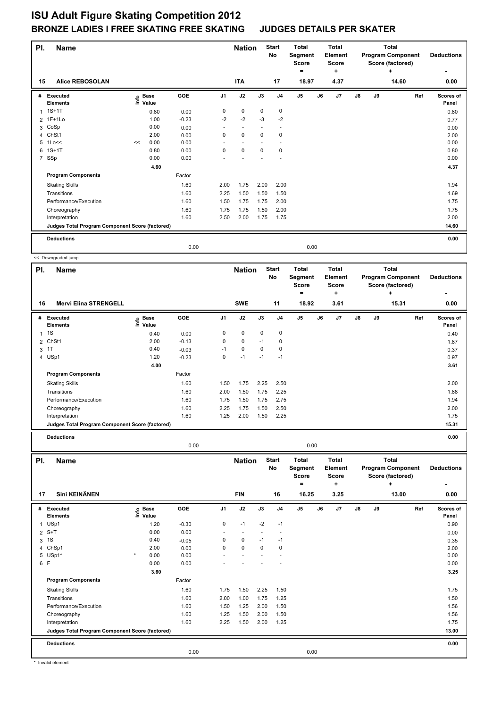| PI.            | <b>Name</b>                                     |    |                            |         |                | <b>Nation</b> |             | <b>Start</b><br>No | Total<br><b>Segment</b><br><b>Score</b><br>۰ | Total<br><b>Element</b><br><b>Score</b><br>÷ |    |    | <b>Total</b><br><b>Program Component</b><br>Score (factored)<br>٠ | <b>Deductions</b>         |
|----------------|-------------------------------------------------|----|----------------------------|---------|----------------|---------------|-------------|--------------------|----------------------------------------------|----------------------------------------------|----|----|-------------------------------------------------------------------|---------------------------|
| 15             | <b>Alice REBOSOLAN</b>                          |    |                            |         |                | <b>ITA</b>    |             | 17                 | 18.97                                        | 4.37                                         |    |    | 14.60                                                             | 0.00                      |
| #              | Executed<br><b>Elements</b>                     |    | e Base<br>E Value<br>Value | GOE     | J <sub>1</sub> | J2            | J3          | J <sub>4</sub>     | J <sub>5</sub>                               | J7<br>J6                                     | J8 | J9 |                                                                   | Ref<br>Scores of<br>Panel |
|                | $1.1S+1T$                                       |    | 0.80                       | 0.00    | 0              | 0             | $\mathbf 0$ | $\mathbf 0$        |                                              |                                              |    |    |                                                                   | 0.80                      |
|                | 2 1F+1Lo                                        |    | 1.00                       | $-0.23$ | $-2$           | $-2$          | $-3$        | $-2$               |                                              |                                              |    |    |                                                                   | 0.77                      |
|                | 3 CoSp                                          |    | 0.00                       | 0.00    |                |               |             |                    |                                              |                                              |    |    |                                                                   | 0.00                      |
|                | 4 ChSt1                                         |    | 2.00                       | 0.00    | 0              | $\mathbf 0$   | 0           | 0                  |                                              |                                              |    |    |                                                                   | 2.00                      |
| 5              | 1Lo<<                                           | << | 0.00                       | 0.00    |                |               |             |                    |                                              |                                              |    |    |                                                                   | 0.00                      |
| 6              | $1S+1T$                                         |    | 0.80                       | 0.00    | $\Omega$       | $\mathbf 0$   | $\Omega$    | 0                  |                                              |                                              |    |    |                                                                   | 0.80                      |
| $\overline{7}$ | SSp                                             |    | 0.00                       | 0.00    |                |               |             |                    |                                              |                                              |    |    |                                                                   | 0.00                      |
|                |                                                 |    | 4.60                       |         |                |               |             |                    |                                              |                                              |    |    |                                                                   | 4.37                      |
|                | <b>Program Components</b>                       |    |                            | Factor  |                |               |             |                    |                                              |                                              |    |    |                                                                   |                           |
|                | <b>Skating Skills</b>                           |    |                            | 1.60    | 2.00           | 1.75          | 2.00        | 2.00               |                                              |                                              |    |    |                                                                   | 1.94                      |
|                | Transitions                                     |    |                            | 1.60    | 2.25           | 1.50          | 1.50        | 1.50               |                                              |                                              |    |    |                                                                   | 1.69                      |
|                | Performance/Execution                           |    |                            | 1.60    | 1.50           | 1.75          | 1.75        | 2.00               |                                              |                                              |    |    |                                                                   | 1.75                      |
|                | Choreography                                    |    |                            | 1.60    | 1.75           | 1.75          | 1.50        | 2.00               |                                              |                                              |    |    |                                                                   | 1.75                      |
|                | Interpretation                                  |    |                            | 1.60    | 2.50           | 2.00          | 1.75        | 1.75               |                                              |                                              |    |    |                                                                   | 2.00                      |
|                | Judges Total Program Component Score (factored) |    |                            |         |                |               |             |                    |                                              |                                              |    |    |                                                                   | 14.60                     |
|                | <b>Deductions</b>                               |    |                            |         |                |               |             |                    |                                              |                                              |    |    |                                                                   | 0.00                      |
|                |                                                 |    |                            | 0.00    |                |               |             |                    | 0.00                                         |                                              |    |    |                                                                   |                           |
|                | << Downgraded jump                              |    |                            |         |                |               |             |                    |                                              |                                              |    |    |                                                                   |                           |

**Name Deductions - Nation** Start Total **Segment Score = Total Element Score + Total Program Component Score (factored) + PI.** Name **Start PI.** Nation Start **No # Executed Elements Base Value GOE J1 J2 J3 J4 J5 J6 J7 J8 J9 Scores of Panel** 1 0.40 0.00 0 0 0 0 **Ref**  1S 0.40 **Info 16 Mervi Elina STRENGELL SWE 11 18.92 3.61 15.31 0.00** 2 ChSt1 2.00 -0.13 0 0 -1 0 1.87  $3 \t1 \t\t 0.40 \t\t -0.03 \t\t -1 \t\t 0 \t\t 0 \t\t 0.37$ 4 USp1 1.20 -0.23 0 -1 -1 -1 0.97 **4.00** 3.61 **Program Components**  Skating Skills **1.50** 1.50 1.75 2.25 2.50 Factor 1.60 2.00 Transitions 1.60 2.00 1.50 1.75 2.25 1.88 Performance/Execution 1.94 1.94 1.75 1.75 1.75 1.75 1.75 2.75 Choreography 1.60 2.25 1.75 1.50 2.50 2.00 Interpretation 1.60 1.25 2.00 1.50 2.25 1.75 **Judges Total Program Component Score (factored) 15.31**

**Deductions 0.00**

 $\mathsf{r}$ 

|           |                                                 |                            | 0.00    |                |                             |          |                                 | 0.00                                                  |    |                                               |               |    |                                                                            |     |                           |
|-----------|-------------------------------------------------|----------------------------|---------|----------------|-----------------------------|----------|---------------------------------|-------------------------------------------------------|----|-----------------------------------------------|---------------|----|----------------------------------------------------------------------------|-----|---------------------------|
| PI.<br>17 | <b>Name</b><br>Sini KEINÄNEN                    |                            |         |                | <b>Nation</b><br><b>FIN</b> |          | <b>Start</b><br><b>No</b><br>16 | <b>Total</b><br>Segment<br><b>Score</b><br>۰<br>16.25 |    | Total<br>Element<br><b>Score</b><br>٠<br>3.25 |               |    | <b>Total</b><br><b>Program Component</b><br>Score (factored)<br>÷<br>13.00 |     | <b>Deductions</b><br>0.00 |
| #         | Executed<br><b>Elements</b>                     | © Base<br>E Value<br>Value | GOE     | J <sub>1</sub> | J2                          | J3       | J <sub>4</sub>                  | J5                                                    | J6 | J7                                            | $\mathsf{J}8$ | J9 |                                                                            | Ref | Scores of<br>Panel        |
|           | 1 USp1                                          | 1.20                       | $-0.30$ | $\mathbf 0$    | $-1$                        | $-2$     | $-1$                            |                                                       |    |                                               |               |    |                                                                            |     | 0.90                      |
|           | $2 S+T$                                         | 0.00                       | 0.00    |                |                             |          | $\overline{\phantom{a}}$        |                                                       |    |                                               |               |    |                                                                            |     | 0.00                      |
|           | 3 1 S                                           | 0.40                       | $-0.05$ | $\Omega$       | 0                           | $-1$     | $-1$                            |                                                       |    |                                               |               |    |                                                                            |     | 0.35                      |
|           | 4 ChSp1                                         | 2.00                       | 0.00    | $\Omega$       | 0                           | $\Omega$ | 0                               |                                                       |    |                                               |               |    |                                                                            |     | 2.00                      |
|           | 5 USp1*                                         | $\star$<br>0.00            | 0.00    |                |                             |          |                                 |                                                       |    |                                               |               |    |                                                                            |     | 0.00                      |
| 6 F       |                                                 | 0.00                       | 0.00    |                |                             |          |                                 |                                                       |    |                                               |               |    |                                                                            |     | 0.00                      |
|           |                                                 | 3.60                       |         |                |                             |          |                                 |                                                       |    |                                               |               |    |                                                                            |     | 3.25                      |
|           | <b>Program Components</b>                       |                            | Factor  |                |                             |          |                                 |                                                       |    |                                               |               |    |                                                                            |     |                           |
|           | <b>Skating Skills</b>                           |                            | 1.60    | 1.75           | 1.50                        | 2.25     | 1.50                            |                                                       |    |                                               |               |    |                                                                            |     | 1.75                      |
|           | Transitions                                     |                            | 1.60    | 2.00           | 1.00                        | 1.75     | 1.25                            |                                                       |    |                                               |               |    |                                                                            |     | 1.50                      |
|           | Performance/Execution                           |                            | 1.60    | 1.50           | 1.25                        | 2.00     | 1.50                            |                                                       |    |                                               |               |    |                                                                            |     | 1.56                      |
|           | Choreography                                    |                            | 1.60    | 1.25           | 1.50                        | 2.00     | 1.50                            |                                                       |    |                                               |               |    |                                                                            |     | 1.56                      |
|           | Interpretation                                  |                            | 1.60    | 2.25           | 1.50                        | 2.00     | 1.25                            |                                                       |    |                                               |               |    |                                                                            |     | 1.75                      |
|           | Judges Total Program Component Score (factored) |                            |         |                |                             |          |                                 |                                                       |    |                                               |               |    |                                                                            |     | 13.00                     |
|           | <b>Deductions</b>                               |                            |         |                |                             |          |                                 |                                                       |    |                                               |               |    |                                                                            |     | 0.00                      |
|           |                                                 |                            | 0.00    |                |                             |          |                                 | 0.00                                                  |    |                                               |               |    |                                                                            |     |                           |

\* Invalid element